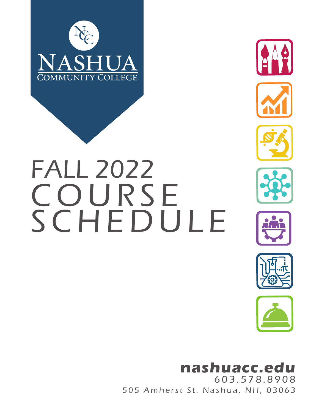



# SCHEDULE FALL 2022 COURSE









## **nashuacc.edu**

505 Amherst St. Nashua, NH, 03063 603.578.8908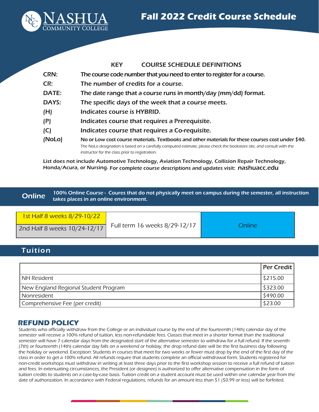

|              | <b>COURSE SCHEDULE DEFINITIONS</b><br><b>KEY</b>                                                                      |
|--------------|-----------------------------------------------------------------------------------------------------------------------|
| <b>CRN:</b>  | The course code number that you need to enter to register for a course.                                               |
| CR:          | The number of credits for a course.                                                                                   |
| <b>DATE:</b> | The date range that a course runs in month/day (mm/dd) format.                                                        |
| <b>DAYS:</b> | The specific days of the week that a course meets.                                                                    |
| (H)          | Indicates course is HYBRID.                                                                                           |
| (P)          | Indicates course that requires a Prerequisite.                                                                        |
| (C)          | Indicates course that requires a Co-requisite.                                                                        |
| (NoLo)       | No or Low cost course materials. Textbooks and other materials for these courses cost under \$40.                     |
|              | The NoLo designation is based on a carefully computed estimate, please check the bookstore site, and consult with the |
|              | instructor for the class prior to registration.                                                                       |

List does not include Automotive Technology, Aviation Technology, Collision Repair Technology, Honda/Acura, or Nursing. For complete course descriptions and updates visit: nashuacc.edu

100% Online Course - Coures that do not physically meet on campus during the semester, all instruction takes places in an online environment. **Online** 

| 1st Half 8 weeks 8/29-10/22  |                               |        |
|------------------------------|-------------------------------|--------|
| 2nd Half 8 weeks 10/24-12/17 | Full term 16 weeks 8/29-12/17 | Online |

#### Tuition

|                                      | <b>Per Credit  </b> |
|--------------------------------------|---------------------|
| <b>NH Resident</b>                   | 5215.00             |
| New England Regional Student Program | \$323.00            |
| Nonresident                          | \$490.00            |
| Comprehensive Fee (per credit)       | \$23.00             |

#### **REFUND POLICY**

Students who officially withdraw from the College or an individual course by the end of the fourteenth (14th) calendar day of the semester will receive a 100% refund of tuition, less non-refundable fees. Classes that meet in a shorter format than the traditional semester will have 7 calendar days from the designated start of the alternative semester to withdraw for a full refund. If the seventh (7th) or fourteenth (14th) calendar day falls on a weekend or holiday, the drop refund date will be the first business day following the holiday or weekend. Exception: Students in courses that meet for two weeks or fewer must drop by the end of the first day of the class in order to get a 100% refund. All refunds require that students complete an official withdrawal form. Students registered for non-credit workshops must withdraw in writing at least three days prior to the first workshop session to receive a full refund of tuition and fees. In extenuating circumstances, the President (or designee) is authorized to offer alternative compensation in the form of tuition credits to students on a case-by-case basis. Tuition credit on a student account must be used within one calendar year from the date of authorization. In accordance with Federal regulations, refunds for an amount less than \$1 (\$0.99 or less) will be forfeited.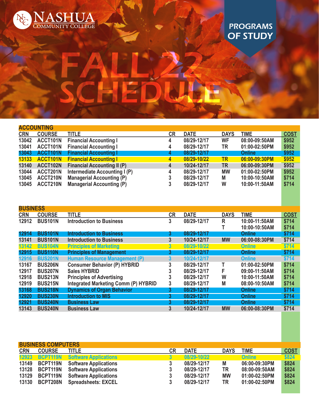

### PROGRAMS OF STUDY

|            | <b>ACCOUNTING</b> |                                    |    |             |             |               |             |
|------------|-------------------|------------------------------------|----|-------------|-------------|---------------|-------------|
| <b>CRN</b> | <b>COURSE</b>     | <b>TITLE</b>                       | CR | <b>DATE</b> | <b>DAYS</b> | <b>TIME</b>   | <b>COST</b> |
| 13042      | ACCT101N          | <b>Financial Accounting I</b>      | 4  | 08/29-12/17 | <b>WF</b>   | 08:00-09:50AM | \$952       |
| 13041      | ACCT101N          | <b>Financial Accounting I</b>      | 4  | 08/29-12/17 | TR          | 01:00-02:50PM | \$952       |
| 13043      | ACCT101N          | <b>Financial Accounting I</b>      | 4  | 08/29-12/17 |             | <b>Online</b> | \$952       |
| 13133      | ACCT101N          | <b>Financial Accounting I</b>      | 4  | 08/29-10/22 | <b>TR</b>   | 06:00-09:30PM | \$952       |
| 13140      | ACCT102N          | <b>Financial Accounting II (P)</b> | 4  | 10/24-12/17 | <b>TR</b>   | 06:00-09:30PM | \$952       |
| 13044      | ACCT201N          | Intermediate Accounting I (P)      | 4  | 08/29-12/17 | <b>MW</b>   | 01:00-02:50PM | \$952       |
| 13045      | ACCT210N          | <b>Managerial Accounting (P)</b>   |    | 08/29-12/17 | M           | 10:00-10:50AM | \$714       |
| 13045      | ACCT210N          | <b>Managerial Accounting (P)</b>   |    | 08/29-12/17 | W           | 10:00-11:50AM | \$714       |
|            |                   |                                    |    |             |             |               |             |

FALL 22

SCHEDULE

| <b>BUSINESS</b> |                |                                             |                |             |             |               |             |
|-----------------|----------------|---------------------------------------------|----------------|-------------|-------------|---------------|-------------|
| <b>CRN</b>      | <b>COURSE</b>  | <b>TITLE</b>                                | <b>CR</b>      | <b>DATE</b> | <b>DAYS</b> | TIME          | <b>COST</b> |
| 12912           | <b>BUS101N</b> | <b>Introduction to Business</b>             | 3              | 08/29-12/17 | R           | 10:00-11:50AM | \$714       |
|                 |                |                                             |                |             |             | 10:00-10:50AM | \$714       |
| 12914           | <b>BUS101N</b> | <b>Introduction to Business</b>             | 3              | 08/29-12/17 |             | <b>Online</b> | \$714       |
| 13141           | <b>BUS101N</b> | <b>Introduction to Business</b>             | 3              | 10/24-12/17 | <b>MW</b>   | 06:00-08:30PM | \$714       |
| 13142           | <b>BUS104N</b> | <b>Principles of Marketing</b>              | $\overline{3}$ | 08/29-10/22 |             | Online        | \$714       |
| 12915           | <b>BUS110N</b> | <b>Principles of Management</b>             | 3              | 08/29-12/17 |             | <b>Online</b> | \$714       |
| 12916           | <b>BUS201N</b> | Human Resource Management (P)               | 3              | 10/24-12/17 |             | Online        | \$714       |
| 13167           | <b>BUS206N</b> | <b>Consumer Behavior (P) HYBRID</b>         | 3              | 08/29-12/17 |             | 01:00-02:50PM | \$714       |
| 12917           | <b>BUS207N</b> | <b>Sales HYBRID</b>                         |                | 08/29-12/17 | F           | 09:00-11:50AM | \$714       |
| 12918           | <b>BUS213N</b> | <b>Principles of Advertising</b>            |                | 08/29-12/17 | W           | 10:00-11:50AM | \$714       |
| 12919           | <b>BUS215N</b> | <b>Integrated Marketing Comm (P) HYBRID</b> | 3              | 08/29-12/17 | M           | 08:00-10:50AM | \$714       |
| 13168           | <b>BUS218N</b> | <b>Dynamics of Organ Behavior</b>           | 3              | 08/29-12/17 |             | <b>Online</b> | \$714       |
| 12920           | <b>BUS230N</b> | <b>Introduction to MIS</b>                  | 3              | 08/29-12/17 |             | Online        | \$714       |
| 12921           | <b>BUS240N</b> | <b>Business Law</b>                         | 3              | 08/29-12/17 |             | <b>Online</b> | \$714       |
| 13143           | <b>BUS240N</b> | <b>Business Law</b>                         | 3              | 10/24-12/17 | <b>MW</b>   | 06:00-08:30PM | \$714       |

|            | <b>BUSINESS COMPUTERS</b> |                                       |           |             |             |               |             |  |
|------------|---------------------------|---------------------------------------|-----------|-------------|-------------|---------------|-------------|--|
| <b>CRN</b> | <b>COURSE</b>             | <b>TITLE</b>                          | <b>CR</b> | <b>DATE</b> | <b>DAYS</b> | <b>TIME</b>   | <b>COST</b> |  |
|            |                           | 12923 BCPT119N Software Applications  |           | 08/29-10/22 |             | <b>Online</b> | \$824       |  |
| 13149      |                           | <b>BCPT119N</b> Software Applications | 3         | 08/29-12/17 | M           | 06:00-09:30PM | \$824       |  |
| 13128      |                           | <b>BCPT119N</b> Software Applications | 3         | 08/29-12/17 | TR          | 08:00-09:50AM | \$824       |  |
| 13129      | BCPT119N                  | <b>Software Applications</b>          | 3         | 08/29-12/17 | <b>MW</b>   | 01:00-02:50PM | \$824       |  |
| 13130      | <b>BCPT208N</b>           | <b>Spreadsheets: EXCEL</b>            | 3         | 08/29-12/17 | TR          | 01:00-02:50PM | \$824       |  |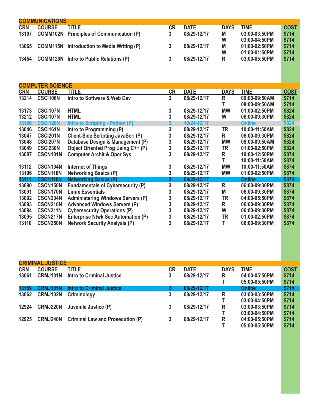| <b>COMMUNICATIONS</b> |               |                                                   |    |             |             |               |             |  |
|-----------------------|---------------|---------------------------------------------------|----|-------------|-------------|---------------|-------------|--|
| <b>CRN</b>            | <b>COURSE</b> | title.                                            | CR | <b>DATE</b> | <b>DAYS</b> | <b>TIME</b>   | <b>COST</b> |  |
| 13107                 |               | <b>COMM102N</b> Principles of Communication (P)   |    | 08/29-12/17 | M           | 03:00-03:50PM | \$714       |  |
|                       |               |                                                   |    |             | W           | 03:00-04:50PM | \$714       |  |
| 13065                 |               | <b>COMM115N</b> Introduction to Media Writing (P) |    | 08/29-12/17 | M           | 01:00-02:50PM | \$714       |  |
|                       |               |                                                   |    |             | W           | 01:00-01:50PM | \$714       |  |
| 13454                 |               | <b>COMM120N</b> Intro to Public Relations (P)     |    | 08/29-12/17 | R           | 03:00-05:50PM | \$714       |  |
|                       |               |                                                   |    |             |             |               |             |  |

| <b>COURSE</b>   | TITLE                                     | CR                      | <b>DATE</b> | <b>DAYS</b> | <b>TIME</b>   | <b>COST</b> |
|-----------------|-------------------------------------------|-------------------------|-------------|-------------|---------------|-------------|
| <b>CSCI106N</b> | Intro to Software & Web Dev               | 3                       | 08/29-12/17 | R           | 09:00-09:50AM | \$714       |
|                 |                                           |                         |             |             | 08:00-09:50AM | \$714       |
| <b>CSCI107N</b> | <b>HTML</b>                               | 3                       | 08/29-12/17 | <b>MW</b>   | 01:00-02:50PM | \$824       |
| <b>CSCI107N</b> | <b>HTML</b>                               | 3                       | 08/29-12/17 | W           | 06:00-09:30PM | \$824       |
| <b>CSCI120N</b> | <b>Intro to Scripting - Python (P)</b>    | 3                       | 10/24-12/17 |             | <b>Online</b> | \$824       |
| CSCI161N        | Intro to Programming (P)                  | 3                       | 08/29-12/17 | TR          | 10:00-11:50AM | \$824       |
| <b>CSCI201N</b> | Client-Side Scripting JavaScri (P)        |                         | 08/29-12/17 | R.          | 06:00-09:30PM | \$824       |
| <b>CSCI207N</b> | Database Design & Management (P)          |                         | 08/29-12/17 | <b>MW</b>   | 08:00-09:50AM | \$824       |
| <b>CSCI230N</b> | <b>Object Oriented Prog Using C++ (P)</b> | 3                       | 08/29-12/17 | TR          | 01:00-02:50PM | \$824       |
| <b>CSCN101N</b> | <b>Computer Archit &amp; Oper Sys</b>     | 3                       | 08/29-12/17 | R           | 10:00-12:50PM | \$874       |
|                 |                                           |                         |             |             | 10:00-11:50AM | \$874       |
| CSCN104N        | <b>Internet of Things</b>                 | 3                       | 08/29-12/17 | <b>MW</b>   | 10:00-11:50AM | \$874       |
| <b>CSCN116N</b> | <b>Networking Basics (P)</b>              | 3                       | 08/29-12/17 | <b>MW</b>   | 01:00-02:50PM | \$874       |
| <b>CSCN116N</b> | <b>Networking Basics (P)</b>              | 3                       | 08/29-12/17 |             | <b>Online</b> | \$874       |
| <b>CSCN150N</b> | <b>Fundamentals of Cybersecurity (P)</b>  | 3                       | 08/29-12/17 | R           | 06:00-09:30PM | \$874       |
| <b>CSCN170N</b> | <b>Linux Essentials</b>                   |                         | 08/29-12/17 | Μ           | 06:00-09:30PM | \$874       |
| <b>CSCN204N</b> | <b>Administering Windows Servers (P)</b>  | 3                       | 08/29-12/17 | TR          | 04:00-05:50PM | \$874       |
| <b>CSCN210N</b> | <b>Advanced Windows Servers (P)</b>       | 3                       | 08/29-12/17 | R           | 06:00-09:30PM | \$874       |
| <b>CSCN211N</b> | <b>Cybersecurity Operations (P)</b>       |                         | 08/29-12/17 | W           | 06:00-09:30PM | \$874       |
| <b>CSCN217N</b> | <b>Enterprise Ntwk Sec Automation (P)</b> |                         | 08/29-12/17 | TR          | 01:00-02:50PM | \$874       |
| <b>CSCN250N</b> | <b>Network Security Analysis (P)</b>      | 3                       | 08/29-12/17 | т           | 06:00-09:30PM | \$874       |
|                 |                                           | <b>COMPUTER SCIENCE</b> |             |             |               |             |

|            | <b>CRIMINAL JUSTICE</b> |                                         |           |             |             |               |             |
|------------|-------------------------|-----------------------------------------|-----------|-------------|-------------|---------------|-------------|
| <b>CRN</b> | <b>COURSE</b>           | <b>TITLE</b>                            | <b>CR</b> | <b>DATE</b> | <b>DAYS</b> | TIME          | <b>COST</b> |
| 13061      | CRMJ101N                | <b>Intro to Criminal Justice</b>        | 3         | 08/29-12/17 | R           | 04:00-05:50PM | \$714       |
|            |                         |                                         |           |             |             | 05:00-05:50PM | \$714       |
| 13159      | <b>CRMJ101N</b>         | Intro to Criminal Justice               | 3         | 08/29-12/17 |             | Online        | \$714       |
| 13062      | CRMJ102N                | Criminology                             | 3         | 08/29-12/17 | R           | 03:00-03:50PM | \$714       |
|            |                         |                                         |           |             |             | 03:00-04:50PM | \$714       |
| 12924      | <b>CRMJ220N</b>         | Juvenile Justice (P)                    | 3         | 08/29-12/17 | R           | 03:00-03:50PM | \$714       |
|            |                         |                                         |           |             |             | 03:00-04:50PM | \$714       |
| 12925      | <b>CRMJ240N</b>         | <b>Criminal Law and Prosecution (P)</b> | 3         | 08/29-12/17 | R           | 04:00-05:50PM | \$714       |
|            |                         |                                         |           |             |             | 05:00-05:50PM | \$714       |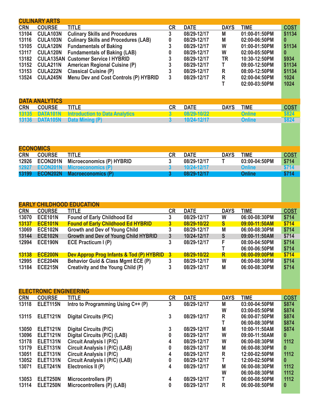|            | <b>CULINARY ARTS</b> |                                             |          |             |             |               |             |
|------------|----------------------|---------------------------------------------|----------|-------------|-------------|---------------|-------------|
| <b>CRN</b> | <b>COURSE</b>        | <b>TITLE</b>                                | CR       | <b>DATE</b> | <b>DAYS</b> | <b>TIME</b>   | <b>COST</b> |
| 13104      | CULA103N             | <b>Culinary Skills and Procedures</b>       | 3        | 08/29-12/17 | М           | 01:00-01:50PM | \$1134      |
| 13116      | <b>CULA103N</b>      | <b>Culinary Skills and Procedures (LAB)</b> | $\bf{0}$ | 08/29-12/17 | М           | 02:00-06:50PM | 0           |
| 13105      | <b>CULA120N</b>      | <b>Fundamentals of Baking</b>               | 3        | 08/29-12/17 | W           | 01:00-01:50PM | \$1134      |
| 13117      | <b>CULA120N</b>      | <b>Fundamentals of Baking (LAB)</b>         | 0        | 08/29-12/17 | W           | 02:00-05:50PM |             |
| 13182      |                      | <b>CULA135AN Customer Service I HYBRID</b>  | 3        | 08/29-12/17 | TR          | 10:30-12:50PM | \$934       |
| 13152      | <b>CULA211N</b>      | <b>American Regional Cuisine (P)</b>        | 3        | 08/29-12/17 |             | 09:00-12:50PM | \$1134      |
| 13153      | <b>CULA222N</b>      | <b>Classical Cuisine (P)</b>                | 3        | 08/29-12/17 | R           | 08:00-12:50PM | \$1134      |
| 13524      | <b>CULA245N</b>      | Menu Dev and Cost Controls (P) HYBRID       | 3        | 08/29-12/17 | R           | 02:00-04:50PM | 1024        |
|            |                      |                                             |          |             |             | 02:00-03:50PM | 1024        |

| <b>DATA ANALYTICS</b> |               |                                               |  |             |             |               |             |  |
|-----------------------|---------------|-----------------------------------------------|--|-------------|-------------|---------------|-------------|--|
| <b>CRN</b>            | <b>COURSE</b> | TITLE                                         |  | CR DATE     | <b>DAYS</b> | <b>TIME</b>   | <b>COST</b> |  |
|                       |               | 13135 DATA101N Introduction to Data Analytics |  | 08/29-10/22 |             | <b>Online</b> | \$824       |  |
|                       |               | 13136 DATA105N Data Mining (P)                |  | 10/24-12/17 |             | <b>Online</b> | \$824       |  |

| <b>ECONOMICS</b> |               |                                          |           |             |             |               |             |
|------------------|---------------|------------------------------------------|-----------|-------------|-------------|---------------|-------------|
| <b>CRN</b>       | <b>COURSE</b> | title.                                   | <b>CR</b> | <b>DATE</b> | <b>DAYS</b> | <b>TIME</b>   | <b>COST</b> |
|                  |               | 12926 ECON201N Microeconomics (P) HYBRID |           | 08/29-12/17 |             | 03:00-04:50PM | \$714       |
|                  |               | 12927 ECON201N Microeconomics (P)        |           | 10/24-12/17 |             | <b>Online</b> | \$714       |
|                  |               | 13199 ECON202N Macroeconomics (P)        |           | 08/29-12/17 |             | Online        | \$714       |

|            |                      | <b>EARLY CHILDHOOD EDUCATION</b>            |    |             |              |               |             |
|------------|----------------------|---------------------------------------------|----|-------------|--------------|---------------|-------------|
| <b>CRN</b> | <b>COURSE</b>        | <b>TITLE</b>                                | СR | <b>DATE</b> | <b>DAYS</b>  | TIME          | <b>COST</b> |
| 13070      | <b>ECE101N</b>       | <b>Found of Early Childhood Ed</b>          | 3  | 08/29-12/17 | W            | 06:00-08:30PM | \$714       |
| 13137      | <b>ECE101N</b>       | <b>Found of Early Childhood Ed HYBRID</b>   | 3  | 08/29-10/22 | <sub>S</sub> | 09:00-11:50AM | \$714       |
| 13069      | <b>ECE102N</b>       | <b>Growth and Dev of Young Child</b>        | 3  | 08/29-12/17 | M            | 06:00-08:30PM | \$714       |
| 13144      | <b>ECE102N</b>       | <b>Growth and Dev of Young Child HYBRID</b> | 3  | 10/24-12/17 | S            | 09:00-11:50AM | \$714       |
| 12994      | ECE <sub>190</sub> N | <b>ECE Practicum I (P)</b>                  | 3  | 08/29-12/17 | F            | 08:00-04:50PM | \$714       |
|            |                      |                                             |    |             |              | 06:00-06:50PM | \$714       |
| 13138      | <b>ECE200N</b>       | Dev Approp Prog Infants & Tod (P) HYBRID 3  |    | 08/29-10/22 | R            | 06:00-09:00PM | \$714       |
| 12995      | <b>ECE204N</b>       | Behavior Guid & Class Mgmt ECE (P)          | 3  | 08/29-12/17 | W            | 06:00-08:30PM | \$714       |
| 13184      | ECE215N              | Creativity and the Young Child (P)          | 3  | 08/29-12/17 | M            | 06:00-08:30PM | \$714       |

|            | <b>ELECTRONIC ENGINEERING</b> |                                    |           |             |             |               |             |
|------------|-------------------------------|------------------------------------|-----------|-------------|-------------|---------------|-------------|
| <b>CRN</b> | <b>COURSE</b>                 | TITLE                              | <b>CR</b> | <b>DATE</b> | <b>DAYS</b> | <b>TIME</b>   | <b>COST</b> |
| 13118      | ELET115N                      | Intro to Programming Using C++ (P) | 3         | 08/29-12/17 | Μ           | 03:00-04:50PM | \$874       |
|            |                               |                                    |           |             | W           | 03:00-05:50PM | \$874       |
| 13115      | ELET121N                      | <b>Digital Circuits (P/C)</b>      | 3         | 08/29-12/17 | R           | 06:00-07:50PM | \$874       |
|            |                               |                                    |           |             |             | 06:00-08:30PM | \$874       |
| 13050      | ELET <sub>121N</sub>          | <b>Digital Circuits (P/C)</b>      | 3         | 08/29-12/17 | M           | 10:00-11:50AM | \$874       |
| 13096      | ELET121N                      | Digital Circuits (P/C) (LAB)       | 0         | 08/29-12/17 | W           | 09:00-11:50AM | 0           |
| 13178      | ELET <sub>131N</sub>          | <b>Circuit Analysis I (P/C)</b>    | 4         | 08/29-12/17 | W           | 06:00-08:30PM | 1112        |
| 13179      | ELET <sub>131N</sub>          | Circuit Analysis I (P/C) (LAB)     | 0         | 08/29-12/17 | Μ           | 06:00-08:30PM | $\bf{0}$    |
| 13051      | ELET <sub>131N</sub>          | <b>Circuit Analysis I (P/C)</b>    | 4         | 08/29-12/17 | R           | 12:00-02:50PM | 1112        |
| 13052      | ELET131N                      | Circuit Analysis I (P/C) (LAB)     | 0         | 08/29-12/17 |             | 12:00-02:50PM | 0           |
| 13071      | ELET241N                      | Electronics II (P)                 | 4         | 08/29-12/17 | M           | 06:00-08:30PM | 1112        |
|            |                               |                                    |           |             | W           | 06:00-08:30PM | 1112        |
| 13053      | ELET250N                      | Microcontrollers (P)               | 4         | 08/29-12/17 |             | 06:00-08:50PM | 1112        |
| 13114      | ELET250N                      | Microcontrollers (P) (LAB)         | 0         | 08/29-12/17 | R           | 06:00-08:50PM | 0           |
|            |                               |                                    |           |             |             |               |             |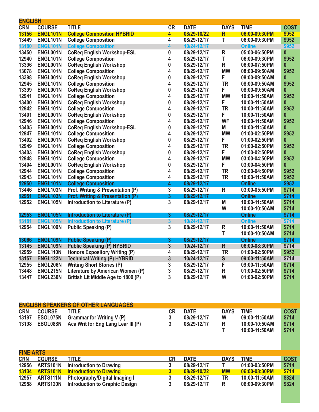| <b>ENGLISH</b>   |                 |                                             |              |             |              |               |             |
|------------------|-----------------|---------------------------------------------|--------------|-------------|--------------|---------------|-------------|
| <b>CRN</b>       | <b>COURSE</b>   | <b>TITLE</b>                                | CR           | <b>DATE</b> | <b>DAYS</b>  | <b>TIME</b>   | <b>COST</b> |
| 13156            | ENGL101N        | <b>College Composition HYBRID</b>           | 4            | 08/29-10/22 | $\mathsf{R}$ | 06:00-09:30PM | \$952       |
| 13449            | ENGL101N        | <b>College Composition</b>                  | 4            | 08/29-12/17 | т            | 06:00-09:30PM | \$952       |
| 13180            | <b>ENGL101N</b> | <b>College Composition</b>                  | 4            | 10/24-12/17 |              | <b>Online</b> | \$952       |
| 13450            | ENGL001N        | <b>CoReq English Workshop-ESL</b>           | 0            | 08/29-12/17 | R            | 05:00-06:50PM | 0           |
| 12940            | ENGL101N        | <b>College Composition</b>                  | 4            | 08/29-12/17 | T            | 06:00-09:30PM | \$952       |
| 13396            | ENGL001N        | <b>CoReq English Workshop</b>               | 0            | 08/29-12/17 | R            | 06:00-07:50PM | 0           |
| 13078            | ENGL101N        | <b>College Composition</b>                  | 4            | 08/29-12/17 | <b>MW</b>    | 08:00-09:50AM | \$952       |
| 13398            | ENGL001N        | <b>CoReq English Workshop</b>               | 0            | 08/29-12/17 | F            | 08:00-09:50AM | 0           |
| 12945            | ENGL101N        | <b>College Composition</b>                  | 4            | 08/29-12/17 | <b>TR</b>    | 08:00-09:50AM | \$952       |
| 13399            | ENGL001N        | <b>CoReq English Workshop</b>               | 0            | 08/29-12/17 | F            | 08:00-09:50AM | 0           |
| 12941            | ENGL101N        | <b>College Composition</b>                  | 4            | 08/29-12/17 | <b>MW</b>    | 10:00-11:50AM | \$952       |
| 13400            | ENGL001N        | <b>CoReq English Workshop</b>               | 0            | 08/29-12/17 | F            | 10:00-11:50AM | 0           |
| 12942            | ENGL101N        | <b>College Composition</b>                  | 4            | 08/29-12/17 | <b>TR</b>    | 10:00-11:50AM | \$952       |
| 13401            | ENGL001N        | <b>CoReq English Workshop</b>               | 0            | 08/29-12/17 | F            | 10:00-11:50AM | 0           |
| 12946            | ENGL101N        | <b>College Composition</b>                  | 4            | 08/29-12/17 | <b>WF</b>    | 10:00-11:50AM | \$952       |
| 13405            | ENGL001N        | <b>CoReq English Workshop-ESL</b>           | 0            | 08/29-12/17 | M            | 10:00-11:50AM | 0           |
| 12947            | ENGL101N        | <b>College Composition</b>                  | 4            | 08/29-12/17 | <b>MW</b>    | 01:00-02:50PM | \$952       |
| 13402            | ENGL001N        | <b>CoReq English Workshop</b>               | 0            | 08/29-12/17 | F            | 01:00-02:50PM | 0           |
| 12949            | ENGL101N        | <b>College Composition</b>                  | 4            | 08/29-12/17 | <b>TR</b>    | 01:00-02:50PM | \$952       |
| 13403            | ENGL001N        | <b>CoReq English Workshop</b>               | 0            | 08/29-12/17 | F            | 01:00-02:50PM | 0           |
| 12948            | ENGL101N        | <b>College Composition</b>                  | 4            | 08/29-12/17 | <b>MW</b>    | 03:00-04:50PM | \$952       |
| 13404            | ENGL001N        | <b>CoReq English Workshop</b>               | 0            | 08/29-12/17 | F            | 03:00-04:50PM | 0           |
| 12944            | ENGL101N        | <b>College Composition</b>                  | 4            | 08/29-12/17 | <b>TR</b>    | 03:00-04:50PM | \$952       |
| 12943            | ENGL101N        | <b>College Composition</b>                  | 4            | 08/29-12/17 | <b>TR</b>    | 10:00-11:50AM | \$952       |
| 12950            | ENGL101N        | <b>College Composition</b>                  | 4            | 08/29-12/17 |              | <b>Online</b> | \$952       |
| 13446            | ENGL103N        | Prof. Writing & Presentation (P)            | 3            | 08/29-12/17 | R            | 03:00-05:50PM | \$714       |
| 12951            | ENGL103N        | <b>Prof. Writing &amp; Presentation (P)</b> | 3            | 08/29-12/17 |              | <b>Online</b> | \$714       |
| 12952            | ENGL105N        | Introduction to Literature (P)              | 3            | 08/29-12/17 | M            | 10:00-11:50AM | \$714       |
|                  |                 |                                             |              |             | W            | 10:00-10:50AM | \$714       |
| 12953            | ENGL105N        | Introduction to Literature (P)              | 3            | 08/29-12/17 |              | <b>Online</b> | \$714       |
| 13181            | <b>ENGL105N</b> | Introduction to Literature (P)              | 3            | 10/24-12/17 |              | <b>Online</b> | \$714       |
| 12954            | ENGL109N        | <b>Public Speaking (P)</b>                  | 3            | 08/29-12/17 | R            | 10:00-11:50AM | \$714       |
|                  |                 |                                             |              |             | T            | 10:00-10:50AM | \$714       |
| 13066            | ENGL109N        | <b>Public Speaking (P)</b>                  | 3            | 08/29-12/17 |              | Online        | \$714       |
| 13145            | ENGL109N        | <b>Public Speaking (P) HYBRID</b>           | 3            | 10/24-12/17 | R            | 06:00-08:30PM | \$714       |
| 12959            | ENGL110N        | <b>Honors Expository Writing (P)</b>        | 4            | 08/29-12/17 | <b>TR</b>    | 01:00-02:50PM | \$952       |
| 13157            | ENGL122N        | <b>Technical Writing (P) HYBRID</b>         | 3            | 10/24-12/17 | S            | 09:00-11:50AM | \$714       |
| 12955            | ENGL206N        | <b>Writing Short Stories (P)</b>            | 3            | 08/29-12/17 | F            | 09:00-11:50AM | \$714       |
| 13448            | ENGL215N        | Literature by American Women (P)            | 3            | 08/29-12/17 | R            | 01:00-02:50PM | \$714       |
| 13447            | ENGL230N        | British Lit Middle Age to 1800 (P)          | 3            | 08/29-12/17 | W            | 01:00-02:50PM | \$714       |
|                  |                 |                                             |              |             |              |               |             |
|                  |                 |                                             |              |             |              |               |             |
|                  |                 |                                             |              |             |              |               |             |
|                  |                 |                                             |              |             |              |               |             |
|                  |                 | <b>ENGLISH SPEAKERS OF OTHER LANGUAGES</b>  |              |             |              |               |             |
| <b>CRN</b>       | <b>COURSE</b>   | <b>TITLE</b>                                | <b>CR</b>    | <b>DATE</b> | <b>DAYS</b>  | <b>TIME</b>   | <b>COST</b> |
| 13197            | ESOL075N        | <b>Grammar for Writing V (P)</b>            | $\mathbf{3}$ | 08/29-12/17 | W            | 09:00-11:50AM | \$714       |
| 13198            | ESOL088N        | Aca Writ for Eng Lang Lear III (P)          | 3            | 08/29-12/17 | R            | 10:00-10:50AM | \$714       |
|                  |                 |                                             |              |             | т            | 10:00-11:50AM | \$714       |
|                  |                 |                                             |              |             |              |               |             |
|                  |                 |                                             |              |             |              |               |             |
| <b>FINE ARTS</b> |                 |                                             |              |             |              |               |             |
| <b>CRN</b>       | <b>COURSE</b>   | <b>TITLE</b>                                | CR           | <b>DATE</b> | <b>DAYS</b>  | <b>TIME</b>   | <b>COST</b> |
| 12956            | <b>ARTS101N</b> | <b>Introduction to Drawing</b>              | 3            | 08/29-12/17 | Т            | 01:00-03:50PM | \$714       |
| 13134            | <b>ARTS101N</b> | <b>Introduction to Drawing</b>              | <u>3</u>     | 08/29-10/22 | <b>MW</b>    | 06:00-08:30PM | \$714       |
| 12957            | ARTS111N        | Photography/Digital Imaging I               | 3            | 08/29-12/17 | TR           | 10:00-11:50AM | \$824       |
| 12958            | <b>ARTS120N</b> | <b>Introduction to Graphic Design</b>       | 3            | 08/29-12/17 | R            | 06:00-09:30PM | \$824       |
|                  |                 |                                             |              |             |              |               |             |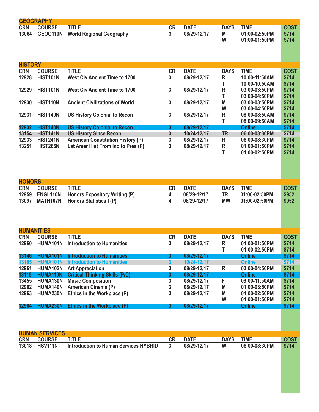|                | <b>GEOGRAPHY</b>      |                                              |              |             |             |               |             |
|----------------|-----------------------|----------------------------------------------|--------------|-------------|-------------|---------------|-------------|
| <b>CRN</b>     | <b>COURSE</b>         | <b>TITLE</b>                                 | CR           | <b>DATE</b> | <b>DAYS</b> | <b>TIME</b>   | <b>COST</b> |
| 13064          | GEOG110N              | <b>World Regional Geography</b>              | 3            | 08/29-12/17 | M           | 01:00-02:50PM | \$714       |
|                |                       |                                              |              |             | W           | 01:00-01:50PM | \$714       |
|                |                       |                                              |              |             |             |               |             |
|                |                       |                                              |              |             |             |               |             |
|                |                       |                                              |              |             |             |               |             |
| <b>HISTORY</b> |                       |                                              |              |             |             |               |             |
|                | <b>COURSE</b>         | <b>TITLE</b>                                 | CR           | <b>DATE</b> | <b>DAYS</b> | <b>TIME</b>   |             |
| <b>CRN</b>     | <b>HIST101N</b>       |                                              |              |             |             |               | <b>COST</b> |
| 12928          |                       | <b>West Civ Ancient Time to 1700</b>         | 3            | 08/29-12/17 | $\mathsf R$ | 10:00-11:50AM | \$714       |
|                |                       |                                              |              |             | Т           | 10:00-10:50AM | \$714       |
| 12929          | <b>HIST101N</b>       | <b>West Civ Ancient Time to 1700</b>         | 3            | 08/29-12/17 | $\mathsf R$ | 03:00-03:50PM | \$714       |
|                |                       |                                              |              |             | T           | 03:00-04:50PM | \$714       |
| 12930          | <b>HIST110N</b>       | <b>Ancient Civilizations of World</b>        | 3            | 08/29-12/17 | M           | 03:00-03:50PM | \$714       |
|                |                       |                                              |              |             | W           | 03:00-04:50PM | \$714       |
| 12931          | <b>HIST140N</b>       | <b>US History Colonial to Recon</b>          | 3            | 08/29-12/17 | $\mathsf R$ | 08:00-08:50AM | \$714       |
|                |                       |                                              |              |             | T           | 08:00-09:50AM | \$714       |
| 12932          | HIST140N              | <b>US History Colonial to Recon</b>          | 3            | 08/29-12/17 |             | <b>Online</b> | \$714       |
| 13154          | <b>HIST141N</b>       | <b>US History Since Recon</b>                | 3            | 10/24-12/17 | <b>TR</b>   | 06:00-08:30PM | \$714       |
| 12933          | <b>HIST241N</b>       | <b>American Constitution History (P)</b>     | 3            | 08/29-12/17 | R           | 06:00-08:30PM | \$714       |
| 13251          | <b>HIST265N</b>       | Lat Amer Hist From Ind to Pres (P)           | 3            | 08/29-12/17 | $\mathsf R$ | 01:00-01:50PM | \$714       |
|                |                       |                                              |              |             | T           | 01:00-02:50PM | \$714       |
|                |                       |                                              |              |             |             |               |             |
|                |                       |                                              |              |             |             |               |             |
|                |                       |                                              |              |             |             |               |             |
|                |                       |                                              |              |             |             |               |             |
| <b>HONORS</b>  |                       |                                              |              |             |             |               |             |
| <b>CRN</b>     | <b>COURSE</b>         | <b>TITLE</b>                                 | CR           | <b>DATE</b> | <b>DAYS</b> | <b>TIME</b>   | <b>COST</b> |
|                | ENGL110N              |                                              |              |             |             |               |             |
| 12959          |                       | <b>Honors Expository Writing (P)</b>         | 4            | 08/29-12/17 | <b>TR</b>   | 01:00-02:50PM | \$952       |
| 13097          | MATH107N              | Honors Statistics I (P)                      | 4            | 08/29-12/17 | <b>MW</b>   | 01:00-02:50PM | \$952       |
|                |                       |                                              |              |             |             |               |             |
|                |                       |                                              |              |             |             |               |             |
|                |                       |                                              |              |             |             |               |             |
|                |                       |                                              |              |             |             |               |             |
|                | <b>HUMANITIES</b>     |                                              |              |             |             |               |             |
| <b>CRN</b>     | <b>COURSE</b>         | <b>TITLE</b>                                 | <b>CR</b>    | <b>DATE</b> | <b>DAYS</b> | <b>TIME</b>   | <b>COST</b> |
| 12960          | <b>HUMA101N</b>       | <b>Introduction to Humanities</b>            | 3            | 08/29-12/17 | $\mathsf R$ | 01:00-01:50PM | \$714       |
|                |                       |                                              |              |             | T           | 01:00-02:50PM | \$714       |
| 13146          | HUMA101N              | <b>Introduction to Humanities</b>            | 3            | 08/29-12/17 |             | <b>Online</b> | \$714       |
| 13165          | <b>HUMA101N</b>       | <b>Introduction to Humanities</b>            | $\mathbf{3}$ | 10/24-12/17 |             | <b>Online</b> | \$714       |
| 12961          | <b>HUMA102N</b>       | <b>Art Appreciation</b>                      | 3            | 08/29-12/17 | R           | 03:00-04:50PM | \$714       |
| 13119          | HUMA110N              | <b>Critical Thinking Skills (P/C)</b>        | 3            | 08/29-12/17 |             | <b>Online</b> | \$714       |
| 13455          | HUMA130N              | <b>Music Composition</b>                     | $\mathbf{3}$ | 08/29-12/17 | F           | 09:00-11:50AM | \$714       |
| 12962          | HUMA140N              | American Cinema (P)                          | 3            | 08/29-12/17 | M           | 01:00-03:50PM | \$714       |
| 12963          | <b>HUMA230N</b>       | Ethics in the Workplace (P)                  | 3            | 08/29-12/17 | M           | 01:00-02:50PM | \$714       |
|                |                       |                                              |              |             | W           | 01:00-01:50PM | \$714       |
| 12964          | HUMA230N              | Ethics in the Workplace (P)                  | $\mathbf{3}$ | 08/29-12/17 |             | <b>Online</b> | \$714       |
|                |                       |                                              |              |             |             |               |             |
|                |                       |                                              |              |             |             |               |             |
|                |                       |                                              |              |             |             |               |             |
|                |                       |                                              |              |             |             |               |             |
|                | <b>HUMAN SERVICES</b> |                                              |              |             |             |               |             |
| <b>CRN</b>     | <b>COURSE</b>         | <b>TITLE</b>                                 | CR           | <b>DATE</b> | <b>DAYS</b> | <b>TIME</b>   | <b>COST</b> |
| 13018          | <b>HSV111N</b>        | <b>Introduction to Human Services HYBRID</b> | $\mathbf{3}$ | 08/29-12/17 | W           | 06:00-08:30PM | \$714       |
|                |                       |                                              |              |             |             |               |             |
|                |                       |                                              |              |             |             |               |             |
|                |                       |                                              |              |             |             |               |             |
|                |                       |                                              |              |             |             |               |             |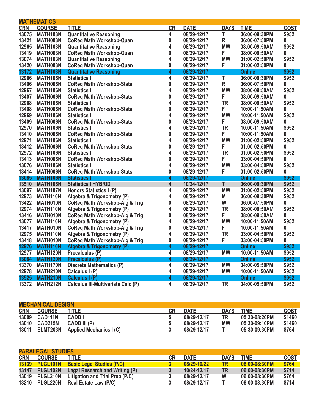|            | <b>MATHEMATICS</b> |                                           |                  |             |             |               |             |
|------------|--------------------|-------------------------------------------|------------------|-------------|-------------|---------------|-------------|
| <b>CRN</b> | <b>COURSE</b>      | <b>TITLE</b>                              | <b>CR</b>        | <b>DATE</b> | <b>DAYS</b> | <b>TIME</b>   | <b>COST</b> |
| 13075      | MATH103N           | <b>Quantitative Reasoning</b>             | 4                | 08/29-12/17 | т           | 06:00-09:30PM | \$952       |
| 13421      | MATH003N           | <b>CoReq Math Workshop-Quan</b>           | 0                | 08/29-12/17 | $\mathsf R$ | 06:00-07:50PM | 0           |
| 12965      | MATH103N           | <b>Quantitative Reasoning</b>             | 4                | 08/29-12/17 | <b>MW</b>   | 08:00-09:50AM | \$952       |
| 13419      | MATH003N           | <b>CoReq Math Workshop-Quan</b>           | $\bf{0}$         | 08/29-12/17 | F           | 08:00-09:50AM | 0           |
| 13074      | MATH103N           | <b>Quantitative Reasoning</b>             | 4                | 08/29-12/17 | <b>MW</b>   | 01:00-02:50PM | \$952       |
| 13420      | MATH003N           | <b>CoReq Math Workshop-Quan</b>           | 0                | 08/29-12/17 | F           | 01:00-02:50PM | 0           |
| 13172      | MATH103N           | <b>Quantitative Reasoning</b>             | 4                | 08/29-12/17 |             | <b>Online</b> | \$952       |
| 12966      | MATH106N           | <b>Statistics I</b>                       | 4                | 08/29-12/17 | T           | 06:00-09:30PM | \$952       |
| 13406      | MATH006N           | <b>CoReq Math Workshop-Stats</b>          | $\bf{0}$         | 08/29-12/17 | $\mathsf R$ | 06:00-07:50PM | 0           |
| 12967      | MATH106N           | <b>Statistics I</b>                       | 4                | 08/29-12/17 | <b>MW</b>   | 08:00-09:50AM | \$952       |
| 13407      | MATH006N           | <b>CoReq Math Workshop-Stats</b>          | 0                | 08/29-12/17 | F           | 08:00-09:50AM | 0           |
| 12968      | MATH106N           | <b>Statistics I</b>                       | 4                | 08/29-12/17 | <b>TR</b>   | 08:00-09:50AM | \$952       |
| 13408      | MATH006N           | <b>CoReq Math Workshop-Stats</b>          | $\boldsymbol{0}$ | 08/29-12/17 | F.          | 10:00-11:50AM | 0           |
| 12969      | MATH106N           | <b>Statistics I</b>                       | 4                | 08/29-12/17 | <b>MW</b>   | 10:00-11:50AM | \$952       |
| 13409      | MATH006N           | <b>CoReq Math Workshop-Stats</b>          | 0                | 08/29-12/17 | F           | 08:00-09:50AM | 0           |
| 12970      | MATH106N           | <b>Statistics I</b>                       | 4                | 08/29-12/17 | <b>TR</b>   | 10:00-11:50AM | \$952       |
| 13410      | MATH006N           | <b>CoReq Math Workshop-Stats</b>          | $\boldsymbol{0}$ | 08/29-12/17 | F           | 10:00-11:50AM | 0           |
| 12971      | MATH106N           | <b>Statistics I</b>                       | 4                | 08/29-12/17 | <b>MW</b>   | 01:00-02:50PM | \$952       |
| 13412      | <b>MATH006N</b>    | <b>CoReq Math Workshop-Stats</b>          | 0                | 08/29-12/17 | F           | 01:00-02:50PM | 0           |
| 12972      | MATH106N           | <b>Statistics I</b>                       | 4                | 08/29-12/17 | <b>TR</b>   | 01:00-02:50PM | \$952       |
| 13413      | MATH006N           | <b>CoReq Math Workshop-Stats</b>          | $\bf{0}$         | 08/29-12/17 | F           | 03:00-04:50PM | 0           |
| 13076      | MATH106N           | <b>Statistics I</b>                       | 4                | 08/29-12/17 | <b>MW</b>   | 03:00-04:50PM | \$952       |
| 13414      | <b>MATH006N</b>    | <b>CoReq Math Workshop-Stats</b>          | $\pmb{0}$        | 08/29-12/17 | F           | 01:00-02:50PM | 0           |
| 13085      | MATH106N           | <b>Statistics I</b>                       | 4                | 08/29-12/17 |             | Online        | \$952       |
| 13510      | MATH106N           | <b>Statistics   HYBRID</b>                | 4                | 10/24-12/17 | T           | 06:00-09:30PM | \$952       |
| 13097      | MATH107N           | Honors Statistics I (P)                   | 4                | 08/29-12/17 | <b>MW</b>   | 01:00-02:50PM | \$952       |
| 12973      | <b>MATH110N</b>    | Algebra & Trigonometry (P)                | 4                | 08/29-12/17 | M           | 06:00-09:30PM | \$952       |
| 13422      | MATH010N           | <b>CoReq Math Workshop-Alg &amp; Trig</b> | $\bf{0}$         | 08/29-12/17 | W           | 06:00-07:50PM | 0           |
| 12974      | MATH110N           | Algebra & Trigonometry (P)                | 4                | 08/29-12/17 | <b>TR</b>   | 08:00-09:50AM | \$952       |
| 13416      | MATH010N           | <b>CoReq Math Workshop-Alg &amp; Trig</b> | 0                | 08/29-12/17 | F           | 08:00-09:50AM | 0           |
| 13077      | <b>MATH110N</b>    | Algebra & Trigonometry (P)                | 4                | 08/29-12/17 | <b>MW</b>   | 10:00-11:50AM | \$952       |
| 13417      | MATH010N           | <b>CoReq Math Workshop-Alg &amp; Trig</b> | 0                | 08/29-12/17 | F           | 10:00-11:50AM | 0           |
| 12975      | MATH110N           | Algebra & Trigonometry (P)                | 4                | 08/29-12/17 | <b>TR</b>   | 03:00-04:50PM | \$952       |
| 13418      | MATH010N           | <b>CoReq Math Workshop-Alg &amp; Trig</b> | 0                | 08/29-12/17 | F           | 03:00-04:50PM | 0           |
| 12976      | <b>MATH110N</b>    | Algebra & Trigonometry (P)                | 4                | 08/29-12/17 |             | <b>Online</b> | \$952       |
| 12977      | MATH120N           | Precalculus (P)                           | 4                | 08/29-12/17 | <b>MW</b>   | 10:00-11:50AM | \$952       |
| 13084      | MATH120N           | Precalculus (P)                           | 4                | 08/29-12/17 |             | <b>Online</b> | \$952       |
| 13370      | MATH170N           | <b>Discrete Mathematics (P)</b>           | 4                | 08/29-12/17 | <b>MW</b>   | 04:00-05:50PM | \$952       |
| 12978      | MATH210N           | Calculus I (P)                            | 4                | 08/29-12/17 | <b>MW</b>   | 10:00-11:50AM | \$952       |
| 13525      | <b>MATH210N</b>    | Calculus I (P)                            | 4                | 08/29-12/17 |             | <b>Online</b> | \$952       |
| 13372      | MATH212N           | <b>Calculus III-Multivariate Calc (P)</b> | 4                | 08/29-12/17 | <b>TR</b>   | 04:00-05:50PM | \$952       |

| <b>MECHANICAL DESIGN</b> |                |                                        |              |             |             |               |             |  |  |
|--------------------------|----------------|----------------------------------------|--------------|-------------|-------------|---------------|-------------|--|--|
| <b>CRN</b>               | <b>COURSE</b>  | <b>TITLE</b>                           | CR.          | <b>DATE</b> | <b>DAYS</b> | <b>TIME</b>   | <b>COST</b> |  |  |
|                          | 13009 CAD111N  | <b>CADD</b> I                          |              | 08/29-12/17 | <b>TR</b>   | 05:30-08:20PM | \$1460      |  |  |
| 13010                    | <b>CAD215N</b> | CADD III (P)                           | <sub>5</sub> | 08/29-12/17 | МW          | 05:30-09:10PM | \$1460      |  |  |
|                          |                | 13011 ELMT203N Applied Mechanics I (C) |              | 08/29-12/17 |             | 05:30-09:30PM | \$764       |  |  |

| <b>PARALEGAL STUDIES</b> |                |                                               |           |             |             |                 |             |  |  |
|--------------------------|----------------|-----------------------------------------------|-----------|-------------|-------------|-----------------|-------------|--|--|
| <b>CRN</b>               | <b>COURSE</b>  | <b>TITLE</b>                                  | <b>CR</b> | <b>DATE</b> | <b>DAYS</b> | TIME            | <b>COST</b> |  |  |
|                          |                | 13139 PLGL101N Basic Legal Studies (P/C)      | 3         | 08/29-10/22 | <b>TR</b>   | $06:00-08:30PM$ | \$764       |  |  |
|                          |                | 13147 PLGL102N Legal Research and Writing (P) |           | 10/24-12/17 | <b>TR</b>   | 06:00-08:30PM   | \$714       |  |  |
|                          | 13019 PLGL210N | Litigation and Trial Prep (P/C)               |           | 08/29-12/17 | W           | 06:00-08:30PM   | \$764       |  |  |
|                          | 13210 PLGL220N | <b>Real Estate Law (P/C)</b>                  |           | 08/29-12/17 |             | 06:00-08:30PM   | \$714       |  |  |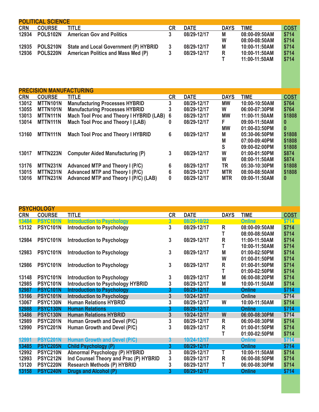|            | <b>POLITICAL SCIENCE</b> |                                              |    |             |             |               |             |
|------------|--------------------------|----------------------------------------------|----|-------------|-------------|---------------|-------------|
| <b>CRN</b> | <b>COURSE</b>            | title.                                       | CR | <b>DATE</b> | <b>DAYS</b> | TIME          | <b>COST</b> |
| 12934      | POLS102N                 | <b>American Gov and Politics</b>             |    | 08/29-12/17 | М           | 08:00-09:50AM | \$714       |
|            |                          |                                              |    |             | W           | 08:00-08:50AM | \$714       |
| 12935      | POLS210N                 | <b>State and Local Government (P) HYBRID</b> |    | 08/29-12/17 | M           | 10:00-11:50AM | \$714       |
| 12936      | <b>POLS220N</b>          | <b>American Politics and Mass Med (P)</b>    |    | 08/29-12/17 | R           | 10:00-11:50AM | \$714       |
|            |                          |                                              |    |             |             | 11:00-11:50AM | \$714       |

|            | <b>PRECISION MANUFACTURING</b> |                                            |           |             |             |               |             |
|------------|--------------------------------|--------------------------------------------|-----------|-------------|-------------|---------------|-------------|
| <b>CRN</b> | <b>COURSE</b>                  | <b>TITLE</b>                               | <b>CR</b> | <b>DATE</b> | <b>DAYS</b> | TIME          | <b>COST</b> |
| 13012      | MTTN101N                       | <b>Manufacturing Processes HYBRID</b>      | 3         | 08/29-12/17 | <b>MW</b>   | 10:00-10:50AM | \$764       |
| 13055      | MTTN101N                       | <b>Manufacturing Processes HYBRID</b>      | 3         | 08/29-12/17 | W           | 06:00-07:30PM | \$764       |
| 13013      | <b>MTTN111N</b>                | Mach Tool Proc and Theory I HYBRID (LAB) 6 |           | 08/29-12/17 | МW          | 11:00-11:50AM | \$1808      |
| 13014      | <b>MTTN111N</b>                | <b>Mach Tool Proc and Theory I (LAB)</b>   | 0         | 08/29-12/17 | F.          | 09:00-11:50AM | 0           |
|            |                                |                                            |           |             | <b>MW</b>   | 01:00-03:50PM | $\bf{0}$    |
| 13160      | MTTN111N                       | <b>Mach Tool Proc and Theory I HYBRID</b>  | 6         | 08/29-12/17 | М           | 05:30-06:50PM | \$1808      |
|            |                                |                                            |           |             | M           | 07:00-09:40PM | \$1808      |
|            |                                |                                            |           |             | S           | 09:00-02:00PM | \$1808      |
| 13017      | MTTN223N                       | <b>Computer Aided Manufacturing (P)</b>    | 3         | 08/29-12/17 | W           | 01:00-01:50PM | \$874       |
|            |                                |                                            |           |             | W           | 08:00-11:50AM | \$874       |
| 13176      | MTTN231N                       | Advanced MTP and Theory I (P/C)            | 6         | 08/29-12/17 | TR          | 05:30-10:30PM | \$1808      |
| 13015      | MTTN231N                       | Advanced MTP and Theory I (P/C)            | 6         | 08/29-12/17 | <b>MTR</b>  | 08:00-08:50AM | \$1808      |
| 13016      | MTTN231N                       | Advanced MTP and Theory I (P/C) (LAB)      | 0         | 08/29-12/17 | <b>MTR</b>  | 09:00-11:50AM | 0           |

|            | <b>PSYCHOLOGY</b> |                                          |           |             |              |               |             |
|------------|-------------------|------------------------------------------|-----------|-------------|--------------|---------------|-------------|
| <b>CRN</b> | <b>COURSE</b>     | <b>TITLE</b>                             | <b>CR</b> | <b>DATE</b> | <b>DAYS</b>  | <b>TIME</b>   | <b>COST</b> |
| 13484      | PSYC101N          | <b>Introduction to Psychology</b>        | 3         | 08/29-10/22 |              | Online        | \$714       |
| 13132      | PSYC101N          | <b>Introduction to Psychology</b>        | 3         | 08/29-12/17 | R            | 08:00-09:50AM | \$714       |
|            |                   |                                          |           |             | т            | 08:00-08:50AM | \$714       |
| 12984      | PSYC101N          | <b>Introduction to Psychology</b>        | 3         | 08/29-12/17 | $\mathsf{R}$ | 11:00-11:50AM | \$714       |
|            |                   |                                          |           |             | T            | 10:00-11:50AM | \$714       |
| 12983      | PSYC101N          | <b>Introduction to Psychology</b>        | 3         | 08/29-12/17 | M            | 01:00-02:50PM | \$714       |
|            |                   |                                          |           |             | W            | 01:00-01:50PM | \$714       |
| 12986      | PSYC101N          | <b>Introduction to Psychology</b>        | 3         | 08/29-12/17 | R            | 01:00-01:50PM | \$714       |
|            |                   |                                          |           |             | T            | 01:00-02:50PM | \$714       |
| 13148      | PSYC101N          | <b>Introduction to Psychology</b>        | 3         | 08/29-12/17 | M            | 06:00-08:20PM | \$714       |
| 12985      | PSYC101N          | <b>Introduction to Psychology HYBRID</b> | 3         | 08/29-12/17 | M            | 10:00-11:50AM | \$714       |
| 12987      | PSYC101N          | <b>Introduction to Psychology</b>        | 3         | 08/29-12/17 |              | <b>Online</b> | \$714       |
| 13166      | PSYC101N          | <b>Introduction to Psychology</b>        | 3         | 10/24-12/17 |              | Online        | \$714       |
| 13067      | <b>PSYC130N</b>   | <b>Human Relations HYBRID</b>            | 3         | 08/29-12/17 | W            | 10:00-11:50AM | \$714       |
| 12988      | PSYC130N          | <b>Human Relations</b>                   | 3         | 08/29-12/17 |              | <b>Online</b> | \$714       |
| 13486      | PSYC130N          | <b>Human Relations HYBRID</b>            | 3         | 10/24-12/17 | W            | 06:00-08:30PM | \$714       |
| 12989      | PSYC201N          | Human Growth and Devel (P/C)             | 3         | 08/29-12/17 | R            | 06:00-08:30PM | \$714       |
| 12990      | PSYC201N          | Human Growth and Devel (P/C)             | 3         | 08/29-12/17 | R            | 01:00-01:50PM | \$714       |
|            |                   |                                          |           |             | т            | 01:00-02:50PM | \$714       |
| 12991      | PSYC201N          | <b>Human Growth and Devel (P/C)</b>      | 3         | 10/24-12/17 |              | <b>Online</b> | \$714       |
| 13485      | PSYC205N          | <b>Child Psychology (P)</b>              | 3         | 08/29-12/17 |              | <b>Online</b> | \$714       |
| 12992      | <b>PSYC210N</b>   | <b>Abnormal Psychology (P) HYBRID</b>    | 3         | 08/29-12/17 | T            | 10:00-11:50AM | \$714       |
| 12993      | PSYC212N          | Ind Counsel Theory and Prac (P) HYBRID   | 3         | 08/29-12/17 | R            | 06:00-08:50PM | \$714       |
| 13120      | PSYC220N          | <b>Research Methods (P) HYBRID</b>       | 3         | 08/29-12/17 | т            | 06:00-08:30PM | \$714       |
| 13158      | PSYC240N          | Drugs and Alcohol (P)                    | 3         | 08/29-12/17 |              | Online        | \$714       |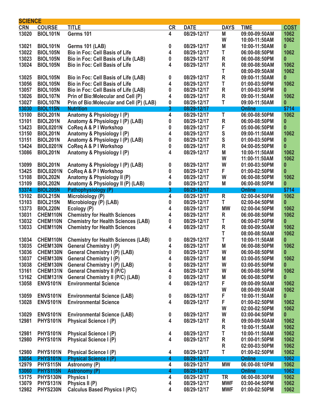| <b>SCIENCE</b> |                  |                                                                |           |             |               |               |                  |
|----------------|------------------|----------------------------------------------------------------|-----------|-------------|---------------|---------------|------------------|
| <b>CRN</b>     | <b>COURSE</b>    | <b>TITLE</b>                                                   | <b>CR</b> | <b>DATE</b> | <b>DAYS</b>   | <b>TIME</b>   | <b>COST</b>      |
| 13020          | <b>BIOL101N</b>  | Germs 101                                                      | 4         | 08/29-12/17 | M             | 09:00-09:50AM | 1062             |
|                |                  |                                                                |           |             | W             | 10:00-11:50AM | 1062             |
| 13021          | <b>BIOL101N</b>  | <b>Germs 101 (LAB)</b>                                         | 0         | 08/29-12/17 | M             | 10:00-11:50AM | 0                |
| 13022          | <b>BIOL105N</b>  | <b>Bio in Foc: Cell Basis of Life</b>                          | 4         | 08/29-12/17 | T             | 06:00-08:50PM | 1062             |
| 13023          | <b>BIOL105N</b>  | Bio in Foc: Cell Basis of Life (LAB)                           | 0         | 08/29-12/17 | R             | 06:00-08:50PM | 0                |
| 13024          | <b>BIOL105N</b>  | <b>Bio in Foc: Cell Basis of Life</b>                          | 4         | 08/29-12/17 | R             | 08:00-08:50AM | 1062             |
|                |                  |                                                                |           |             | T             |               | 1062             |
|                |                  |                                                                |           |             |               | 08:00-09:50AM |                  |
| 13025          | <b>BIOL105N</b>  | Bio in Foc: Cell Basis of Life (LAB)                           | 0         | 08/29-12/17 | $\mathsf R$   | 09:00-11:50AM | 0                |
| 13056          | <b>BIOL105N</b>  | <b>Bio in Foc: Cell Basis of Life</b>                          | 4         | 08/29-12/17 | T             | 01:00-03:50PM | 1062             |
| 13057          | <b>BIOL105N</b>  | Bio in Foc: Cell Basis of Life (LAB)                           | 0         | 08/29-12/17 | $\mathsf R$   | 01:00-03:50PM | 0                |
| 13026          | <b>BIOL107N</b>  | Prin of Bio: Molecular and Cell (P)                            | 4         | 08/29-12/17 | $\mathsf R$   | 09:00-11:50AM | 1062             |
| 13027          | <b>BIOL107N</b>  | Prin of Bio: Molecular and Cell (P) (LAB)                      | 0         | 08/29-12/17 | T             | 09:00-11:50AM | 0                |
| 13030          | <b>BIOL115N</b>  | <b>Nutrition</b>                                               | 3         | 08/29-12/17 |               | <b>Online</b> | \$714            |
| 13100          | <b>BIOL201N</b>  | Anatomy & Physiology I (P)                                     | 4         | 08/29-12/17 | T             | 06:00-08:50PM | 1062             |
| 13101          | <b>BIOL201N</b>  | Anatomy & Physiology I (P) (LAB)                               | 0         | 08/29-12/17 | $\mathsf R$   | 06:00-08:50PM | $\boldsymbol{0}$ |
| 13423          | <b>BIOL0201N</b> | <b>CoReq A &amp; P I Workshop</b>                              | 0         | 08/29-12/17 | F             | 05:00-06:50PM | 0                |
| 13150          | <b>BIOL201N</b>  | Anatomy & Physiology I (P)                                     | 4         | 08/29-12/17 | S             | 09:00-11:50AM | 1062             |
| 13151          | <b>BIOL201N</b>  | Anatomy & Physiology I (P) (LAB)                               | 0         | 08/29-12/17 | ${\mathsf S}$ | 01:00-03:50PM | 0                |
| 13424          | <b>BIOL0201N</b> | <b>CoReq A &amp; P I Workshop</b>                              | 0         | 08/29-12/17 | R             | 04:00-05:50PM | 0                |
| 13086          | <b>BIOL201N</b>  | Anatomy & Physiology I (P)                                     | 4         | 08/29-12/17 | M             | 10:00-11:50AM | 1062             |
|                |                  |                                                                |           |             | W             | 11:00-11:50AM | 1062             |
|                | <b>BIOL201N</b>  |                                                                |           |             | W             |               |                  |
| 13099          |                  | Anatomy & Physiology I (P) (LAB)                               | 0         | 08/29-12/17 |               | 01:00-03:50PM | 0                |
| 13425          | <b>BIOL0201N</b> | <b>CoReq A &amp; P I Workshop</b>                              | 0         | 08/29-12/17 | F             | 01:00-02:50PM | 0                |
| 13108          | <b>BIOL202N</b>  | Anatomy & Physiology II (P)                                    | 4         | 08/29-12/17 | W             | 06:00-08:50PM | 1062             |
| 13109          | <b>BIOL202N</b>  | Anatomy & Physiology II (P) (LAB)                              | 0         | 08/29-12/17 | M             | 06:00-08:50PM | $\boldsymbol{0}$ |
| 13374          | <b>BIOL205N</b>  | Pathophysiology (P)                                            | 3         | 08/29-12/17 |               | <b>Online</b> | \$714            |
| 13102          | <b>BIOL215N</b>  | Microbiology (P)                                               | 4         | 08/29-12/17 | $\mathsf R$   | 02:00-04:50PM | 1062             |
| 13103          | <b>BIOL215N</b>  | Microbiology (P) (LAB)                                         | 0         | 08/29-12/17 | T             | 02:00-04:50PM | 0                |
| 13373          | <b>BIOL220N</b>  | Ecology (P)                                                    | 4         | 08/29-12/17 | <b>MW</b>     | 02:00-04:50PM | 1062             |
| 13031          | CHEM110N         | <b>Chemistry for Health Sciences</b>                           | 4         | 08/29-12/17 | R             | 06:00-08:50PM | 1062             |
| 13032          | CHEM110N         | <b>Chemistry for Health Sciences (LAB)</b>                     | 0         | 08/29-12/17 | T             | 06:00-07:50PM | 0                |
| 13033          | CHEM110N         | <b>Chemistry for Health Sciences</b>                           | 4         | 08/29-12/17 | R             | 08:00-09:50AM | 1062             |
|                |                  |                                                                |           |             | T             | 08:00-08:50AM | 1062             |
| 13034          | CHEM110N         | <b>Chemistry for Health Sciences (LAB)</b>                     | 0         | 08/29-12/17 | T             | 10:00-11:50AM | 0                |
| 13035          | CHEM130N         | <b>General Chemistry I (P)</b>                                 | 4         | 08/29-12/17 | M             | 06:00-08:50PM | 1062             |
| 13036          | CHEM130N         | <b>General Chemistry I (P) (LAB)</b>                           | 0         | 08/29-12/17 | W             | 06:00-08:50PM | $\mathbf{0}$     |
| 13037          | CHEM130N         | <b>General Chemistry I (P)</b>                                 | 4         | 08/29-12/17 | M             | 03:00-05:50PM | 1062             |
| 13038          | CHEM130N         |                                                                | 0         | 08/29-12/17 | W             | 03:00-05:50PM | 0                |
|                |                  | <b>General Chemistry I (P) (LAB)</b>                           |           |             |               |               |                  |
| 13161          | CHEM131N         | <b>General Chemistry II (P/C)</b>                              | 4         | 08/29-12/17 | W             | 06:00-08:50PM | 1062             |
| 13162          | CHEM131N         | <b>General Chemistry II (P/C) (LAB)</b>                        | 0         | 08/29-12/17 | M             | 06:00-08:50PM | 0                |
| 13058          | <b>ENVS101N</b>  | <b>Environmental Science</b>                                   | 4         | 08/29-12/17 | F             | 09:00-09:50AM | 1062             |
|                |                  |                                                                |           |             | W             | 08:00-09:50AM | 1062             |
| 13059          | ENVS101N         | <b>Environmental Science (LAB)</b>                             | 0         | 08/29-12/17 | F             | 10:00-11:50AM | 0                |
| 13028          | <b>ENVS101N</b>  | <b>Environmental Science</b>                                   | 4         | 08/29-12/17 | F             | 01:00-02:50PM | 1062             |
|                |                  |                                                                |           |             | W             | 02:00-02:50PM | 1062             |
| 13029          | ENVS101N         | <b>Environmental Science (LAB)</b>                             | 0         | 08/29-12/17 | W             | 03:00-04:50PM | 0                |
| 12981          | <b>PHYS101N</b>  | <b>Physical Science I (P)</b>                                  | 4         | 08/29-12/17 | R             | 09:00-09:50AM | 1062             |
|                |                  |                                                                |           |             | ${\sf R}$     | 10:00-11:50AM | 1062             |
| 12981          | PHYS101N         | <b>Physical Science I (P)</b>                                  | 4         | 08/29-12/17 | T             | 10:00-11:50AM | 1062             |
| 12980          | <b>PHYS101N</b>  | <b>Physical Science I (P)</b>                                  | 4         | 08/29-12/17 | R             | 01:00-01:50PM | 1062             |
|                |                  |                                                                |           |             | $\mathsf R$   | 02:00-03:50PM | 1062             |
| 12980          | PHYS101N         |                                                                | 4         | 08/29-12/17 | T             | 01:00-02:50PM | 1062             |
|                | <b>PHYS101N</b>  | <b>Physical Science I (P)</b><br><b>Physical Science I (P)</b> |           | 08/29-12/17 |               | <b>Online</b> | 1062             |
| 13054          |                  |                                                                | 4         |             |               |               |                  |
| 12979          | <b>PHYS115N</b>  | Astronomy (P)                                                  | 4         | 08/29-12/17 | <b>MW</b>     | 06:00-08:10PM | 1062             |
| 13060          | PHYS115N         | <b>Astronomy (P)</b>                                           | 4         | 08/29-12/17 |               | <b>Online</b> | 1062             |
| 13175          | <b>PHYS130N</b>  | <b>Physics I</b>                                               | 4         | 08/29-12/17 | <b>TR</b>     | 06:00-08:30PM | 1062             |
| 13079          | PHYS131N         | Physics II (P)                                                 | 4         | 08/29-12/17 | <b>MWF</b>    | 03:00-04:50PM | 1062             |
| 12982          | <b>PHYS230N</b>  | <b>Calculus Based Physics I (P/C)</b>                          | 4         | 08/29-12/17 | <b>MWF</b>    | 01:00-02:50PM | 1062             |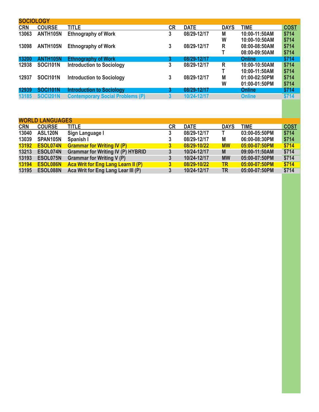| <b>SOCIOLOGY</b> |                 |                                         |           |             |             |               |             |
|------------------|-----------------|-----------------------------------------|-----------|-------------|-------------|---------------|-------------|
| <b>CRN</b>       | <b>COURSE</b>   | <b>TITLE</b>                            | <b>CR</b> | <b>DATE</b> | <b>DAYS</b> | <b>TIME</b>   | <b>COST</b> |
| 13063            | ANTH105N        | <b>Ethnography of Work</b>              | 3         | 08/29-12/17 | M           | 10:00-11:50AM | \$714       |
|                  |                 |                                         |           |             | W           | 10:00-10:50AM | \$714       |
| 13098            | <b>ANTH105N</b> | <b>Ethnography of Work</b>              | 3         | 08/29-12/17 | R           | 08:00-08:50AM | \$714       |
|                  |                 |                                         |           |             |             | 08:00-09:50AM | \$714       |
| 13200            | <b>ANTH105N</b> | <b>Ethnography of Work</b>              | 3         | 08/29-12/17 |             | Online        | \$714       |
| 12938            | <b>SOCI101N</b> | <b>Introduction to Sociology</b>        | 3         | 08/29-12/17 | R           | 10:00-10:50AM | \$714       |
|                  |                 |                                         |           |             |             | 10:00-11:50AM | \$714       |
| 12937            | <b>SOCI101N</b> | <b>Introduction to Sociology</b>        | 3         | 08/29-12/17 | M           | 01:00-02:50PM | \$714       |
|                  |                 |                                         |           |             | W           | 01:00-01:50PM | \$714       |
| 12939            | <b>SOCI101N</b> | <b>Introduction to Sociology</b>        | 3         | 08/29-12/17 |             | Online        | \$714       |
| 13185            | <b>SOCI201N</b> | <b>Contemporary Social Problems (P)</b> | 3         | 10/24-12/17 |             | <b>Online</b> | \$714       |
|                  |                 |                                         |           |             |             |               |             |

| <b>WORLD LANGUAGES</b> |                |                                          |                  |             |             |               |             |  |  |  |  |  |
|------------------------|----------------|------------------------------------------|------------------|-------------|-------------|---------------|-------------|--|--|--|--|--|
| <b>CRN</b>             | <b>COURSE</b>  | <b>TITLE</b>                             | <b>CR</b>        | <b>DATE</b> | <b>DAYS</b> | <b>TIME</b>   | <b>COST</b> |  |  |  |  |  |
| 13040                  | <b>ASL120N</b> | Sign Language I                          |                  | 08/29-12/17 |             | 03:00-05:50PM | \$714       |  |  |  |  |  |
| 13039                  | SPAN105N       | Spanish I                                | 3                | 08/29-12/17 | M           | 06:00-08:30PM | \$714       |  |  |  |  |  |
| 13192                  | ESOL074N       | <b>Grammar for Writing IV (P)</b>        | 3                | 08/29-10/22 | <b>MW</b>   | 05:00-07:50PM | \$714       |  |  |  |  |  |
| 13213                  | ESOL074N       | <b>Grammar for Writing IV (P) HYBRID</b> | 3                | 10/24-12/17 | M           | 09:00-11:50AM | \$714       |  |  |  |  |  |
| 13193                  | ESOL075N       | <b>Grammar for Writing V (P)</b>         | 3                | 10/24-12/17 | <b>MW</b>   | 05:00-07:50PM | \$714       |  |  |  |  |  |
| 13194                  | ESOL086N       | Aca Writ for Eng Lang Learn II (P)       | $\boldsymbol{3}$ | 08/29-10/22 | <b>TR</b>   | 05:00-07:50PM | \$714       |  |  |  |  |  |
| 13195                  | ESOL088N       | Aca Writ for Eng Lang Lear III (P)       | 3                | 10/24-12/17 | TR.         | 05:00-07:50PM | \$714       |  |  |  |  |  |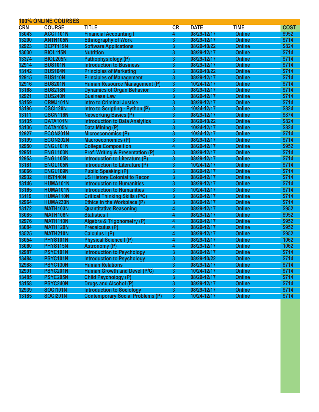|            | <b>100% ONLINE COURSES</b> |                                             |              |             |               |             |
|------------|----------------------------|---------------------------------------------|--------------|-------------|---------------|-------------|
| <b>CRN</b> | <b>COURSE</b>              | <b>TITLE</b>                                | <b>CR</b>    | <b>DATE</b> | <b>TIME</b>   | <b>COST</b> |
| 13043      | ACCT101N                   | <b>Financial Accounting I</b>               | 4            | 08/29-12/17 | <b>Online</b> | \$952       |
| 13200      | ANTH <sub>105N</sub>       | <b>Ethnography of Work</b>                  | 3            | 08/29-12/17 | <b>Online</b> | \$714       |
| 12923      | BCPT119N                   | <b>Software Applications</b>                | 3            | 08/29-10/22 | <b>Online</b> | \$824       |
| 13030      | <b>BIOL115N</b>            | <b>Nutrition</b>                            | 3            | 08/29-12/17 | <b>Online</b> | \$714       |
| 13374      | <b>BIOL205N</b>            | Pathophysiology (P)                         | 3            | 08/29-12/17 | <b>Online</b> | \$714       |
| 12914      | <b>BUS101N</b>             | <b>Introduction to Business</b>             | 3            | 08/29-12/17 | <b>Online</b> | \$714       |
| 13142      | <b>BUS104N</b>             | <b>Principles of Marketing</b>              | 3            | 08/29-10/22 | <b>Online</b> | \$714       |
| 12915      | <b>BUS110N</b>             | <b>Principles of Management</b>             | 3            | 08/29-12/17 | <b>Online</b> | \$714       |
| 12916      | <b>BUS201N</b>             | <b>Human Resource Management (P)</b>        | 3            | 10/24-12/17 | <b>Online</b> | \$714       |
| 13168      | <b>BUS218N</b>             | <b>Dynamics of Organ Behavior</b>           | 3            | 08/29-12/17 | <b>Online</b> | \$714       |
| 12921      | <b>BUS240N</b>             | <b>Business Law</b>                         | 3            | 08/29-12/17 | <b>Online</b> | \$714       |
| 13159      | <b>CRMJ101N</b>            | <b>Intro to Criminal Justice</b>            | 3            | 08/29-12/17 | <b>Online</b> | \$714       |
| 13196      | <b>CSCI120N</b>            | Intro to Scripting - Python (P)             | 3            | 10/24-12/17 | <b>Online</b> | \$824       |
| 13111      | <b>CSCN116N</b>            | <b>Networking Basics (P)</b>                | 3            | 08/29-12/17 | <b>Online</b> | \$874       |
| 13135      | DATA101N                   | <b>Introduction to Data Analytics</b>       | 3            | 08/29-10/22 | <b>Online</b> | \$824       |
| 13136      | DATA105N                   | Data Mining (P)                             | 3            | 10/24-12/17 | <b>Online</b> | \$824       |
| 12927      | ECON201N                   | Microeconomics (P)                          | 3            | 10/24-12/17 | <b>Online</b> | \$714       |
| 13199      | ECON202N                   | <b>Macroeconomics (P)</b>                   | 3            | 08/29-12/17 | <b>Online</b> | \$714       |
| 12950      | ENGL101N                   | <b>College Composition</b>                  | 4            | 08/29-12/17 | <b>Online</b> | \$952       |
| 12951      | ENGL103N                   | <b>Prof. Writing &amp; Presentation (P)</b> | 3            | 08/29-12/17 | <b>Online</b> | \$714       |
| 12953      | ENGL105N                   | Introduction to Literature (P)              | 3            | 08/29-12/17 | <b>Online</b> | \$714       |
| 13181      | ENGL105N                   | <b>Introduction to Literature (P)</b>       | 3            | 10/24-12/17 | <b>Online</b> | \$714       |
| 13066      | ENGL109N                   | <b>Public Speaking (P)</b>                  | 3            | 08/29-12/17 | <b>Online</b> | \$714       |
| 12932      | <b>HIST140N</b>            | <b>US History Colonial to Recon</b>         | 3            | 08/29-12/17 | <b>Online</b> | \$714       |
| 13146      | HUMA101N                   | <b>Introduction to Humanities</b>           | 3            | 08/29-12/17 | <b>Online</b> | \$714       |
| 13165      | HUMA101N                   | <b>Introduction to Humanities</b>           | 3            | 10/24-12/17 | <b>Online</b> | \$714       |
| 13119      | <b>HUMA110N</b>            | <b>Critical Thinking Skills (P/C)</b>       | 3            | 08/29-12/17 | <b>Online</b> | \$714       |
| 12964      | HUMA230N                   | <b>Ethics in the Workplace (P)</b>          | 3            | 08/29-12/17 | <b>Online</b> | \$714       |
| 13172      | MATH103N                   | <b>Quantitative Reasoning</b>               | 4            | 08/29-12/17 | <b>Online</b> | \$952       |
| 13085      | <b>MATH106N</b>            | <b>Statistics I</b>                         | 4            | 08/29-12/17 | <b>Online</b> | \$952       |
| 12976      | <b>MATH110N</b>            | <b>Algebra &amp; Trigonometry (P)</b>       | 4            | 08/29-12/17 | <b>Online</b> | \$952       |
| 13084      | MATH120N                   | Precalculus (P)                             | 4            | 08/29-12/17 | <b>Online</b> | \$952       |
| 13525      | MATH210N                   | Calculus I (P)                              | 4            | 08/29-12/17 | <b>Online</b> | \$952       |
| 13054      | <b>PHYS101N</b>            | <b>Physical Science I (P)</b>               | 4            | 08/29-12/17 | <b>Online</b> | 1062        |
| 13060      | <b>PHYS115N</b>            | <b>Astronomy (P)</b>                        | 4            | 08/29-12/17 | <b>Online</b> | 1062        |
| 12987      | <b>PSYC101N</b>            | <b>Introduction to Psychology</b>           | J.           | 08/29-12/17 | <b>Online</b> | \$714       |
| 13484      | PSYC101N                   | <b>Introduction to Psychology</b>           | 3            | 08/29-10/22 | <b>Online</b> | \$714       |
| 12988      | PSYC130N                   | <b>Human Relations</b>                      | $\mathbf{3}$ | 08/29-12/17 | <b>Online</b> | \$714       |
| 12991      | PSYC201N                   | <b>Human Growth and Devel (P/C)</b>         | $\mathbf{3}$ | 10/24-12/17 | <b>Online</b> | \$714       |
| 13485      | PSYC205N                   | <b>Child Psychology (P)</b>                 | $\mathbf{3}$ | 08/29-12/17 | <b>Online</b> | \$714       |
| 13158      | PSYC240N                   | Drugs and Alcohol (P)                       | $\mathbf{3}$ | 08/29-12/17 | <b>Online</b> | \$714       |
| 12939      | <b>SOCI101N</b>            | <b>Introduction to Sociology</b>            | $\mathbf{3}$ | 08/29-12/17 | <b>Online</b> | \$714       |
| 13185      | <b>SOCI201N</b>            | <b>Contemporary Social Problems (P)</b>     | $\mathbf{3}$ | 10/24-12/17 | <b>Online</b> | \$714       |